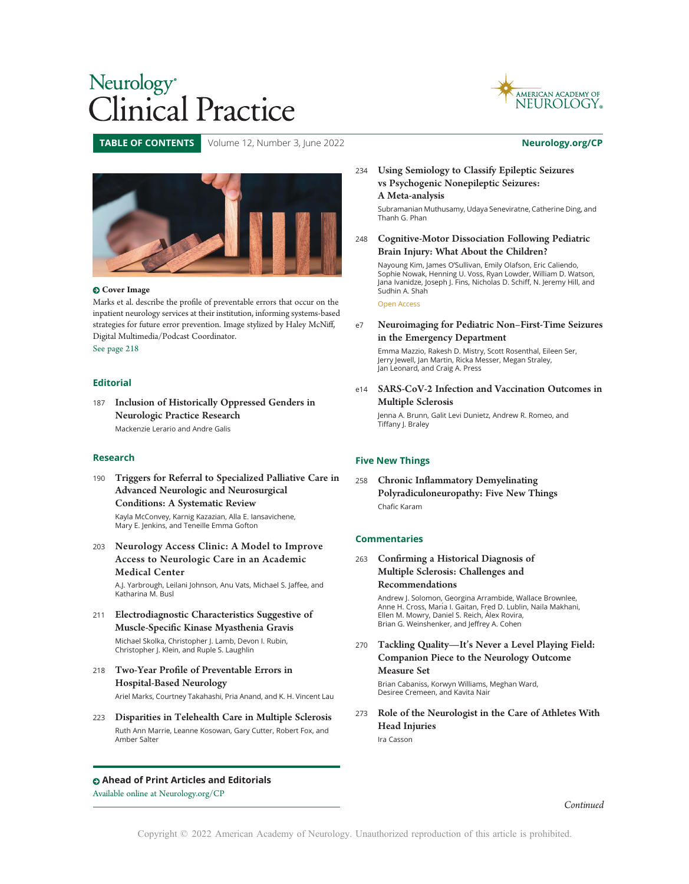



TABLE OF CONTENTS Volume 12, Number 3, June 2022 [Neurology.org/CP](http://neurology.org/cp)



Marks et al. describe the profile of preventable errors that occur on the inpatient neurology services at their institution, informing systems-based strategies for future error prevention. Image stylized by Haley McNiff, Digital Multimedia/Podcast Coordinator.

See page 218

## Editorial

<sup>187</sup> Inclusion of Historically Oppressed Genders in Neurologic Practice Research Mackenzie Lerario and Andre Galis

## Research

<sup>190</sup> Triggers for Referral to Specialized Palliative Care in Advanced Neurologic and Neurosurgical Conditions: A Systematic Review

Kayla McConvey, Karnig Kazazian, Alla E. Iansavichene, Mary E. Jenkins, and Teneille Emma Gofton

<sup>203</sup> Neurology Access Clinic: A Model to Improve Access to Neurologic Care in an Academic Medical Center

A.J. Yarbrough, Leilani Johnson, Anu Vats, Michael S. Jaffee, and Katharina M. Busl

<sup>211</sup> Electrodiagnostic Characteristics Suggestive of Muscle-Specific Kinase Myasthenia Gravis

Michael Skolka, Christopher J. Lamb, Devon I. Rubin, Christopher J. Klein, and Ruple S. Laughlin

<sup>218</sup> Two-Year Profile of Preventable Errors in Hospital-Based Neurology

Ariel Marks, Courtney Takahashi, Pria Anand, and K. H. Vincent Lau

<sup>223</sup> Disparities in Telehealth Care in Multiple Sclerosis Ruth Ann Marrie, Leanne Kosowan, Gary Cutter, Robert Fox, and Amber Salter

## Ahead of Print Articles and Editorials

Available online at [Neurology.org/CP](http://cp.neurology.org/content/early/recent)

## <sup>234</sup> Using Semiology to Classify Epileptic Seizures vs Psychogenic Nonepileptic Seizures: A Meta-analysis

Subramanian Muthusamy, Udaya Seneviratne, Catherine Ding, and Thanh G. Phan

<sup>248</sup> Cognitive-Motor Dissociation Following Pediatric Brain Injury: What About the Children?

Nayoung Kim, James O'Sullivan, Emily Olafson, Eric Caliendo, Sophie Nowak, Henning U. Voss, Ryan Lowder, William D. Watson, Jana Ivanidze, Joseph J. Fins, Nicholas D. Schiff, N. Jeremy Hill, and Sudhin A. Shah

Open Access

e7 Neuroimaging for Pediatric Non–First-Time Seizures in the Emergency Department

Emma Mazzio, Rakesh D. Mistry, Scott Rosenthal, Eileen Ser, Jerry Jewell, Jan Martin, Ricka Messer, Megan Straley, Jan Leonard, and Craig A. Press

e14 SARS-CoV-2 Infection and Vaccination Outcomes in Multiple Sclerosis

Jenna A. Brunn, Galit Levi Dunietz, Andrew R. Romeo, and Tiffany J. Braley

## Five New Things

<sup>258</sup> Chronic Inflammatory Demyelinating Polyradiculoneuropathy: Five New Things Chafic Karam

## Commentaries

<sup>263</sup> Confirming a Historical Diagnosis of Multiple Sclerosis: Challenges and Recommendations

> Andrew J. Solomon, Georgina Arrambide, Wallace Brownlee, Anne H. Cross, María I. Gaitan, Fred D. Lublin, Naila Makhani, Ellen M. Mowry, Daniel S. Reich, Alex Rovira, ` Brian G. Weinshenker, and Jeffrey A. Cohen

<sup>270</sup> Tackling Quality—It's Never a Level Playing Field: Companion Piece to the Neurology Outcome Measure Set

Brian Cabaniss, Korwyn Williams, Meghan Ward, Desiree Cremeen, and Kavita Nair

<sup>273</sup> Role of the Neurologist in the Care of Athletes With Head Injuries Ira Casson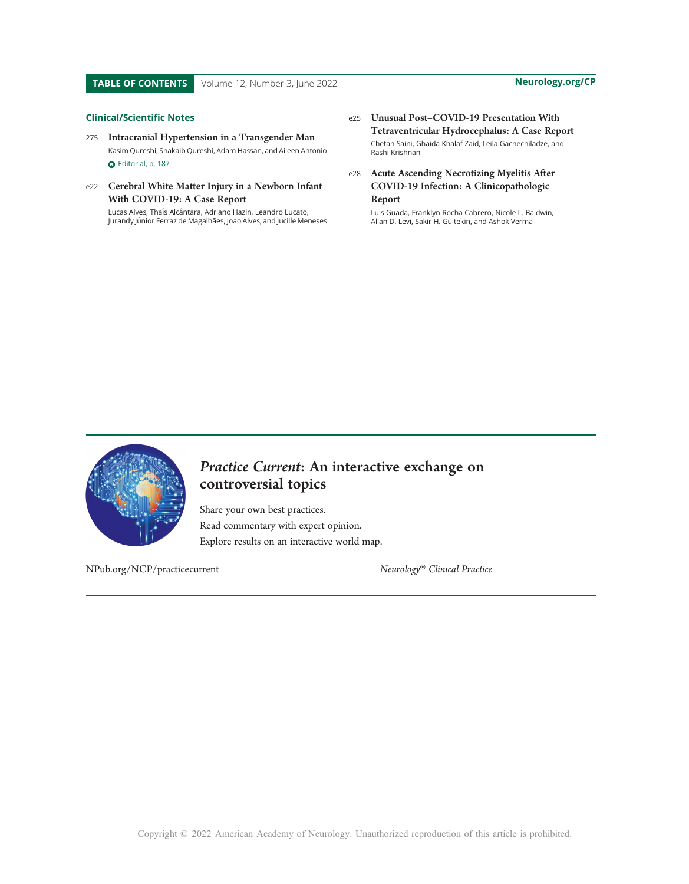### Clinical/Scientific Notes

- <sup>275</sup> Intracranial Hypertension in a Transgender Man Kasim Qureshi, Shakaib Qureshi, Adam Hassan, and Aileen Antonio G Editorial, p. 187
- e22 Cerebral White Matter Injury in a Newborn Infant With COVID-19: A Case Report

Lucas Alves, Thaís Alcântara, Adriano Hazin, Leandro Lucato, Jurandy Júnior Ferraz de Magalhães, Joao Alves, and Jucille Meneses e25 Unusual Post–COVID-19 Presentation With Tetraventricular Hydrocephalus: A Case Report Chetan Saini, Ghaida Khalaf Zaid, Leila Gachechiladze, and Rashi Krishnan

## e28 Acute Ascending Necrotizing Myelitis After COVID-19 Infection: A Clinicopathologic Report

Luis Guada, Franklyn Rocha Cabrero, Nicole L. Baldwin, Allan D. Levi, Sakir H. Gultekin, and Ashok Verma



## Practice Current: An interactive exchange on controversial topics

Share your own best practices. Read commentary with expert opinion. Explore results on an interactive world map.

[NPub.org/NCP/practicecurrent](http://NPub.org/NCP/practicecurrent) Neurology® Clinical Practice